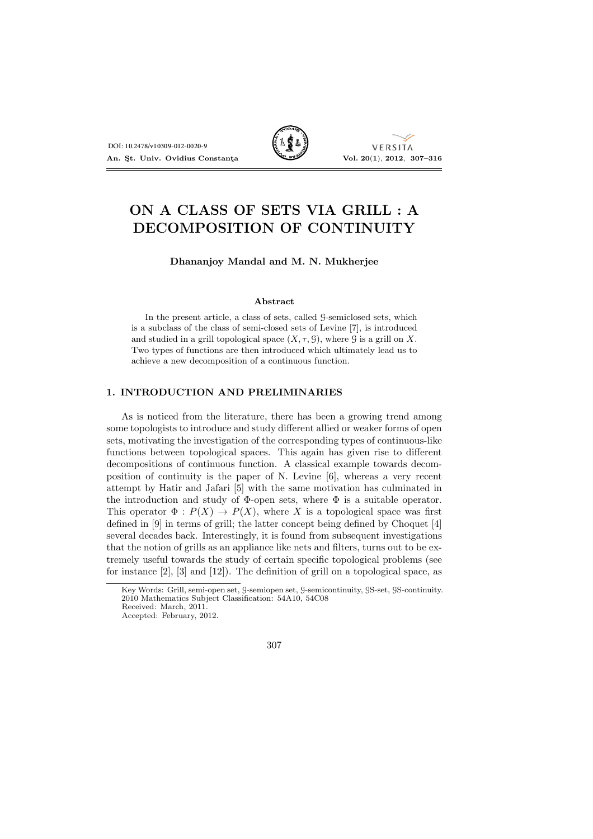

VERSITA

# ON A CLASS OF SETS VIA GRILL : A DECOMPOSITION OF CONTINUITY

## Dhananjoy Mandal and M. N. Mukherjee

#### Abstract

In the present article, a class of sets, called G-semiclosed sets, which is a subclass of the class of semi-closed sets of Levine [7], is introduced and studied in a grill topological space  $(X, \tau, \mathcal{G})$ , where  $\mathcal{G}$  is a grill on X. Two types of functions are then introduced which ultimately lead us to achieve a new decomposition of a continuous function.

## 1. INTRODUCTION AND PRELIMINARIES

As is noticed from the literature, there has been a growing trend among some topologists to introduce and study different allied or weaker forms of open sets, motivating the investigation of the corresponding types of continuous-like functions between topological spaces. This again has given rise to different decompositions of continuous function. A classical example towards decomposition of continuity is the paper of N. Levine [6], whereas a very recent attempt by Hatir and Jafari [5] with the same motivation has culminated in the introduction and study of  $\Phi$ -open sets, where  $\Phi$  is a suitable operator. This operator  $\Phi: P(X) \to P(X)$ , where X is a topological space was first defined in [9] in terms of grill; the latter concept being defined by Choquet [4] several decades back. Interestingly, it is found from subsequent investigations that the notion of grills as an appliance like nets and filters, turns out to be extremely useful towards the study of certain specific topological problems (see for instance [2], [3] and [12]). The definition of grill on a topological space, as

Key Words: Grill, semi-open set, G-semiopen set, G-semicontinuity, GS-set, GS-continuity. 2010 Mathematics Subject Classification: 54A10, 54C08 Received: March, 2011.

Accepted: February, 2012.

<sup>307</sup>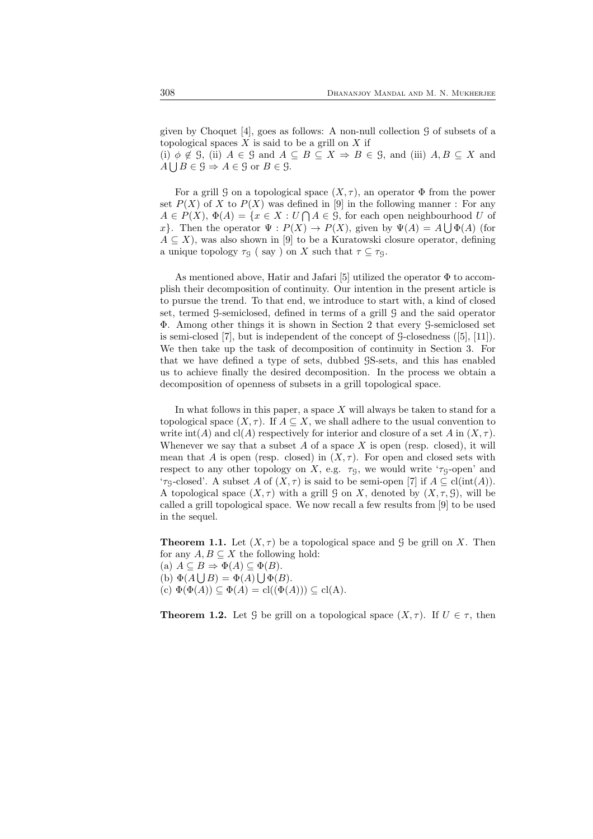given by Choquet [4], goes as follows: A non-null collection  $\mathcal G$  of subsets of a topological spaces  $X$  is said to be a grill on  $X$  if

(i)  $\phi \notin \mathcal{G}$ , (ii)  $A \in \mathcal{G}$  and  $A \subseteq B \subseteq X \Rightarrow B \in \mathcal{G}$ , and (iii)  $A, B \subseteq X$  and  $A \cup B \in \mathcal{G} \Rightarrow A \in \mathcal{G}$  or  $B \in \mathcal{G}$ .

For a grill G on a topological space  $(X, \tau)$ , an operator  $\Phi$  from the power set  $P(X)$  of X to  $P(X)$  was defined in [9] in the following manner : For any  $A \in P(X), \ \Phi(A) = \{x \in X : U \cap A \in \mathcal{G}, \text{ for each open neighbourhood } U \text{ of }$ x}. Then the operator  $\Psi: P(X) \to P(X)$ , given by  $\Psi(A) = A \bigcup \Phi(A)$  (for  $A \subseteq X$ , was also shown in [9] to be a Kuratowski closure operator, defining a unique topology  $\tau_{\mathcal{G}}$  ( say ) on X such that  $\tau \subseteq \tau_{\mathcal{G}}$ .

As mentioned above, Hatir and Jafari [5] utilized the operator  $\Phi$  to accomplish their decomposition of continuity. Our intention in the present article is to pursue the trend. To that end, we introduce to start with, a kind of closed set, termed G-semiclosed, defined in terms of a grill G and the said operator Φ. Among other things it is shown in Section 2 that every G-semiclosed set is semi-closed  $[7]$ , but is independent of the concept of  $\mathcal{G}\text{-closedness}$  ( $[5]$ ,  $[11]$ ). We then take up the task of decomposition of continuity in Section 3. For that we have defined a type of sets, dubbed GS-sets, and this has enabled us to achieve finally the desired decomposition. In the process we obtain a decomposition of openness of subsets in a grill topological space.

In what follows in this paper, a space  $X$  will always be taken to stand for a topological space  $(X, \tau)$ . If  $A \subseteq X$ , we shall adhere to the usual convention to write int(A) and cl(A) respectively for interior and closure of a set A in  $(X, \tau)$ . Whenever we say that a subset  $A$  of a space  $X$  is open (resp. closed), it will mean that A is open (resp. closed) in  $(X, \tau)$ . For open and closed sets with respect to any other topology on X, e.g.  $\tau<sub>G</sub>$ , we would write ' $\tau<sub>G</sub>$ -open' and ' $\tau_{\mathsf{G}}$ -closed'. A subset A of  $(X,\tau)$  is said to be semi-open [7] if  $A \subseteq \text{cl}(\text{int}(A)).$ A topological space  $(X, \tau)$  with a grill G on X, denoted by  $(X, \tau, \mathcal{G})$ , will be called a grill topological space. We now recall a few results from [9] to be used in the sequel.

**Theorem 1.1.** Let  $(X, \tau)$  be a topological space and G be grill on X. Then for any  $A, B \subseteq X$  the following hold:

(a)  $A \subseteq B \Rightarrow \Phi(A) \subseteq \Phi(B)$ .

(b)  $\Phi(A \cup B) = \Phi(A) \cup \Phi(B)$ . (c)  $\Phi(\Phi(A)) \subseteq \Phi(A) = \text{cl}((\Phi(A))) \subseteq \text{cl}(A)$ .

**Theorem 1.2.** Let G be grill on a topological space  $(X, \tau)$ . If  $U \in \tau$ , then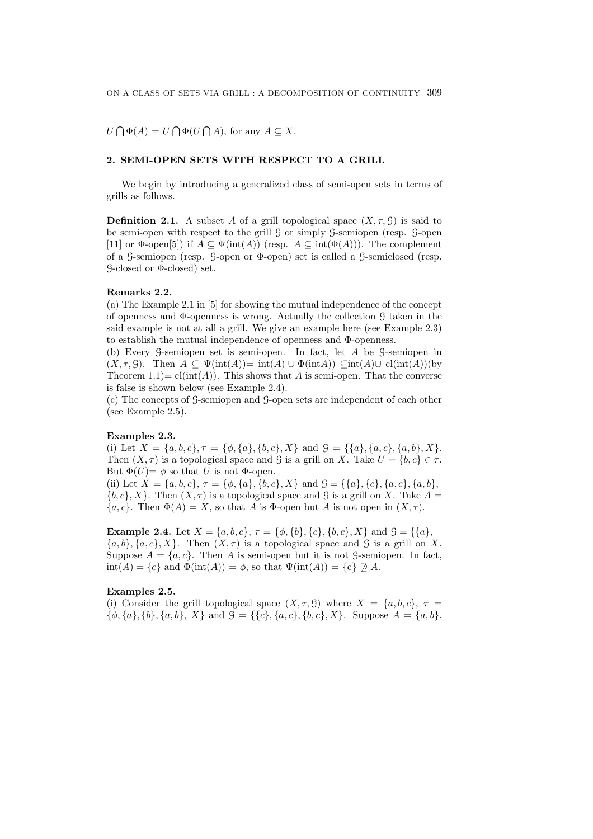$U \bigcap \Phi(A) = U \bigcap \Phi(U \bigcap A)$ , for any  $A \subseteq X$ .

## 2. SEMI-OPEN SETS WITH RESPECT TO A GRILL

We begin by introducing a generalized class of semi-open sets in terms of grills as follows.

**Definition 2.1.** A subset A of a grill topological space  $(X, \tau, \mathcal{G})$  is said to be semi-open with respect to the grill G or simply G-semiopen (resp. G-open [11] or  $\Phi$ -open[5]) if  $A \subseteq \Psi(\text{int}(A))$  (resp.  $A \subseteq \text{int}(\Phi(A))$ ). The complement of a G-semiopen (resp. G-open or Φ-open) set is called a G-semiclosed (resp. G-closed or Φ-closed) set.

#### Remarks 2.2.

(a) The Example 2.1 in [5] for showing the mutual independence of the concept of openness and Φ-openness is wrong. Actually the collection G taken in the said example is not at all a grill. We give an example here (see Example 2.3) to establish the mutual independence of openness and Φ-openness.

(b) Every G-semiopen set is semi-open. In fact, let A be G-semiopen in  $(X, \tau, \mathcal{G})$ . Then  $A \subseteq \Psi(\text{int}(A)) = \text{int}(A) \cup \Phi(\text{int}(A)) \subseteq \text{int}(A) \cup \text{cl}(\text{int}(A))$  (by Theorem  $1.1$ ) = cl(int(A)). This shows that A is semi-open. That the converse is false is shown below (see Example 2.4).

(c) The concepts of G-semiopen and G-open sets are independent of each other (see Example 2.5).

## Examples 2.3.

(i) Let  $X = \{a, b, c\}, \tau = \{\phi, \{a\}, \{b, c\}, X\}$  and  $\mathcal{G} = \{\{a\}, \{a, c\}, \{a, b\}, X\}.$ Then  $(X, \tau)$  is a topological space and G is a grill on X. Take  $U = \{b, c\} \in \tau$ . But  $\Phi(U) = \phi$  so that U is not  $\Phi$ -open.

(ii) Let  $X = \{a, b, c\}, \tau = \{\phi, \{a\}, \{b, c\}, X\}$  and  $\mathcal{G} = \{\{a\}, \{c\}, \{a, c\}, \{a, b\},$  ${b, c}, X$ . Then  $(X, \tau)$  is a topological space and G is a grill on X. Take  $A =$  ${a, c}$ . Then  $\Phi(A) = X$ , so that A is  $\Phi$ -open but A is not open in  $(X, \tau)$ .

**Example 2.4.** Let  $X = \{a, b, c\}$ ,  $\tau = \{\phi, \{b\}, \{c\}, \{b, c\}, X\}$  and  $\mathcal{G} = \{\{a\},\$  $\{a, b\}, \{a, c\}, X\}$ . Then  $(X, \tau)$  is a topological space and G is a grill on X. Suppose  $A = \{a, c\}$ . Then A is semi-open but it is not G-semiopen. In fact,  $\text{int}(A) = \{c\}$  and  $\Phi(\text{int}(A)) = \phi$ , so that  $\Psi(\text{int}(A)) = \{c\} \not\supseteq A$ .

#### Examples 2.5.

(i) Consider the grill topological space  $(X, \tau, \mathcal{G})$  where  $X = \{a, b, c\}, \tau =$  $\{\phi, \{a\}, \{b\}, \{a, b\}, X\}$  and  $\mathcal{G} = \{\{c\}, \{a, c\}, \{b, c\}, X\}$ . Suppose  $A = \{a, b\}$ .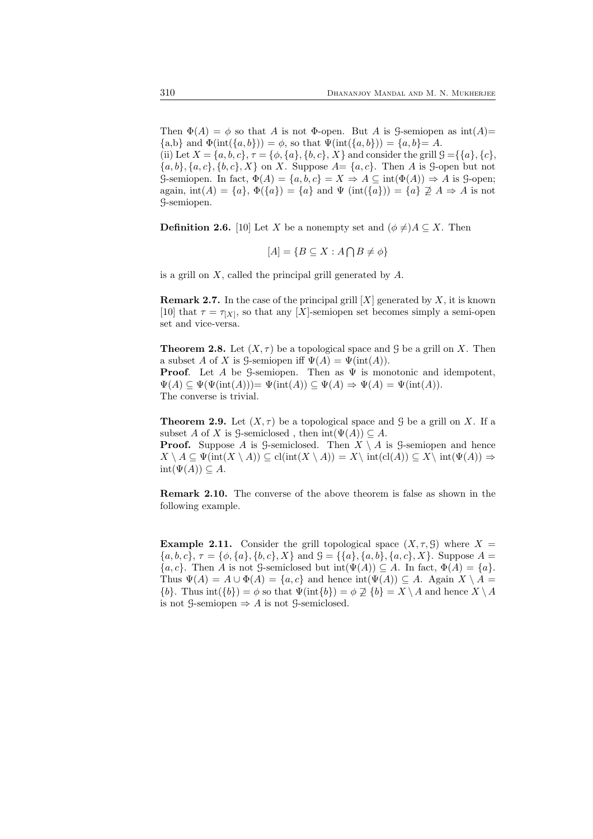Then  $\Phi(A) = \phi$  so that A is not  $\Phi$ -open. But A is G-semiopen as  $int(A)$ =  $\{a,b\}$  and  $\Phi(int(\{a,b\})) = \phi$ , so that  $\Psi(int(\{a,b\})) = \{a,b\} = A$ . (ii) Let  $X = \{a, b, c\}, \tau = \{\phi, \{a\}, \{b, c\}, X\}$  and consider the grill  $\mathcal{G} = \{\{a\}, \{c\}, \{c\}, X\}$  ${a, b}, {a, c}, {b, c}, X$  on X. Suppose  $A = {a, c}$ . Then A is G-open but not G-semiopen. In fact,  $\Phi(A) = \{a, b, c\} = X \Rightarrow A \subseteq \text{int}(\Phi(A)) \Rightarrow A$  is G-open; again,  $\text{int}(A) = \{a\}, \Phi(\{a\}) = \{a\}$  and  $\Psi(\text{int}(\{a\})) = \{a\} \nsubseteq A \Rightarrow A$  is not G-semiopen.

**Definition 2.6.** [10] Let X be a nonempty set and  $(\phi \neq)A \subseteq X$ . Then

$$
[A] = \{ B \subseteq X : A \cap B \neq \phi \}
$$

is a grill on  $X$ , called the principal grill generated by  $A$ .

**Remark 2.7.** In the case of the principal grill  $[X]$  generated by X, it is known [10] that  $\tau = \tau_{[X]}$ , so that any [X]-semiopen set becomes simply a semi-open set and vice-versa.

**Theorem 2.8.** Let  $(X, \tau)$  be a topological space and G be a grill on X. Then a subset A of X is G-semiopen iff  $\Psi(A) = \Psi(int(A)).$ **Proof.** Let A be G-semiopen. Then as  $\Psi$  is monotonic and idempotent,

 $\Psi(A) \subseteq \Psi(\Psi(int(A))) = \Psi(int(A)) \subseteq \Psi(A) \Rightarrow \Psi(A) = \Psi(int(A)).$ The converse is trivial.

**Theorem 2.9.** Let  $(X, \tau)$  be a topological space and G be a grill on X. If a subset A of X is G-semiclosed, then  $int(\Psi(A)) \subset A$ .

**Proof.** Suppose A is G-semiclosed. Then  $X \setminus A$  is G-semiopen and hence  $X \setminus A \subseteq \Psi(\text{int}(X \setminus A)) \subseteq \text{cl}(\text{int}(X \setminus A)) = X\setminus \text{int}(\text{cl}(A)) \subseteq X\setminus \text{int}(\Psi(A)) \Rightarrow$  $int(\Psi(A)) \subseteq A$ .

Remark 2.10. The converse of the above theorem is false as shown in the following example.

**Example 2.11.** Consider the grill topological space  $(X, \tau, \mathcal{G})$  where  $X =$  ${a, b, c}, \tau = {\phi, {a}, {b, c}, X}$  and  $\mathcal{G} = {\{a\}, {a, b}, {a, c}, X}.$  Suppose  $A =$  $\{a, c\}$ . Then A is not G-semiclosed but  $\text{int}(\Psi(A)) \subseteq A$ . In fact,  $\Phi(A) = \{a\}$ . Thus  $\Psi(A) = A \cup \Phi(A) = \{a, c\}$  and hence  $\text{int}(\Psi(A)) \subseteq A$ . Again  $X \setminus A =$  $\{b\}.$  Thus int $(\{b\}) = \phi$  so that  $\Psi(\text{int}\{b\}) = \phi \not\supseteq \{b\} = X \setminus A$  and hence  $X \setminus A$ is not  $\mathcal{G}\text{-semiopen} \Rightarrow A$  is not  $\mathcal{G}\text{-semiclosed}.$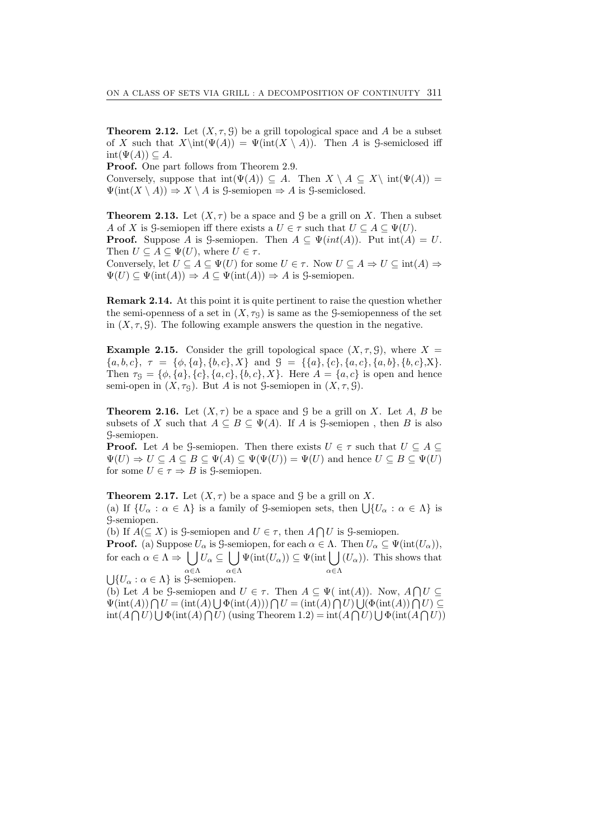**Theorem 2.12.** Let  $(X, \tau, \mathcal{G})$  be a grill topological space and A be a subset of X such that  $X\int(\Psi(A)) = \Psi(\text{int}(X \setminus A))$ . Then A is G-semiclosed iff  $int(\Psi(A)) \subseteq A$ .

Proof. One part follows from Theorem 2.9.

Conversely, suppose that  $int(\Psi(A)) \subseteq A$ . Then  $X \setminus A \subseteq X \setminus int(\Psi(A)) =$  $\Psi(int(X \setminus A)) \Rightarrow X \setminus A$  is  $\mathcal{G}\text{-semiclosed.}$ 

**Theorem 2.13.** Let  $(X, \tau)$  be a space and G be a grill on X. Then a subset A of X is G-semiopen iff there exists a  $U \in \tau$  such that  $U \subseteq A \subseteq \Psi(U)$ . **Proof.** Suppose A is G-semiopen. Then  $A \subseteq \Psi(int(A))$ . Put  $int(A) = U$ . Then  $U \subseteq A \subseteq \Psi(U)$ , where  $U \in \tau$ .

Conversely, let  $U \subseteq A \subseteq \Psi(U)$  for some  $U \in \tau$ . Now  $U \subseteq A \Rightarrow U \subseteq int(A) \Rightarrow$  $\Psi(U) \subseteq \Psi(\text{int}(A)) \Rightarrow A \subseteq \Psi(\text{int}(A)) \Rightarrow A$  is g-semiopen.

Remark 2.14. At this point it is quite pertinent to raise the question whether the semi-openness of a set in  $(X, \tau<sub>G</sub>)$  is same as the G-semiopenness of the set in  $(X, \tau, \mathcal{G})$ . The following example answers the question in the negative.

**Example 2.15.** Consider the grill topological space  $(X, \tau, \mathcal{G})$ , where  $X =$  ${a, b, c}, \tau = {\phi, {a}, {b, c}, X} \text{ and } \mathcal{G} = {\{a\}, {c}, {a, c}, {a, b}, {b, c}, X\}.$ Then  $\tau_{\mathcal{G}} = \{\phi, \{a\}, \{c\}, \{a, c\}, \{b, c\}, X\}$ . Here  $A = \{a, c\}$  is open and hence semi-open in  $(X, \tau<sub>G</sub>)$ . But A is not G-semiopen in  $(X, \tau, \mathcal{G})$ .

**Theorem 2.16.** Let  $(X, \tau)$  be a space and G be a grill on X. Let A, B be subsets of X such that  $A \subseteq B \subseteq \Psi(A)$ . If A is G-semiopen, then B is also G-semiopen.

**Proof.** Let A be G-semiopen. Then there exists  $U \in \tau$  such that  $U \subseteq A \subseteq$  $\Psi(U) \Rightarrow U \subseteq A \subseteq B \subseteq \Psi(A) \subseteq \Psi(\Psi(U)) = \Psi(U)$  and hence  $U \subseteq B \subseteq \Psi(U)$ for some  $U \in \tau \Rightarrow B$  is  $\mathcal{G}$ -semiopen.

**Theorem 2.17.** Let  $(X, \tau)$  be a space and  $\mathcal{G}$  be a grill on X. (a) If  $\{U_{\alpha} : \alpha \in \Lambda\}$  is a family of G-semiopen sets, then  $\bigcup \{U_{\alpha} : \alpha \in \Lambda\}$  is G-semiopen.

(b) If  $A(\subseteq X)$  is G-semiopen and  $U \in \tau$ , then  $A \cap U$  is G-semiopen.

**Proof.** (a) Suppose  $U_{\alpha}$  is G-semiopen, for each  $\alpha \in \Lambda$ . Then  $U_{\alpha} \subseteq \Psi(\text{int}(U_{\alpha}))$ , for each  $\alpha \in \Lambda \Rightarrow |$ α∈Λ  $U_\alpha \subseteq [$   $]$ α∈Λ  $\Psi(\text{int}(U_{\alpha})) \subseteq \Psi(\text{int} \cup$ α∈Λ  $(U_{\alpha})$ ). This shows that  $\bigcup \{U_\alpha : \alpha \in \Lambda\}$  is *S*-semiopen.

(b) Let A be G-semiopen and  $U \in \tau$ . Then  $A \subseteq \Psi(\text{ int}(A))$ . Now,  $A \cap U \subseteq$  $\Psi(\text{int}(A)) \bigcap U = (\text{int}(A) \bigcup \Phi(\text{int}(A))) \bigcap U = (\text{int}(A) \bigcap U) \bigcup (\Phi(\text{int}(A)) \bigcap U) \subseteq$  $\text{int}(A \bigcap U) \bigcup \Phi(\text{int}(A) \bigcap U)$  (using Theorem 1.2) =  $\text{int}(A \bigcap U) \bigcup \Phi(\text{int}(A \bigcap U))$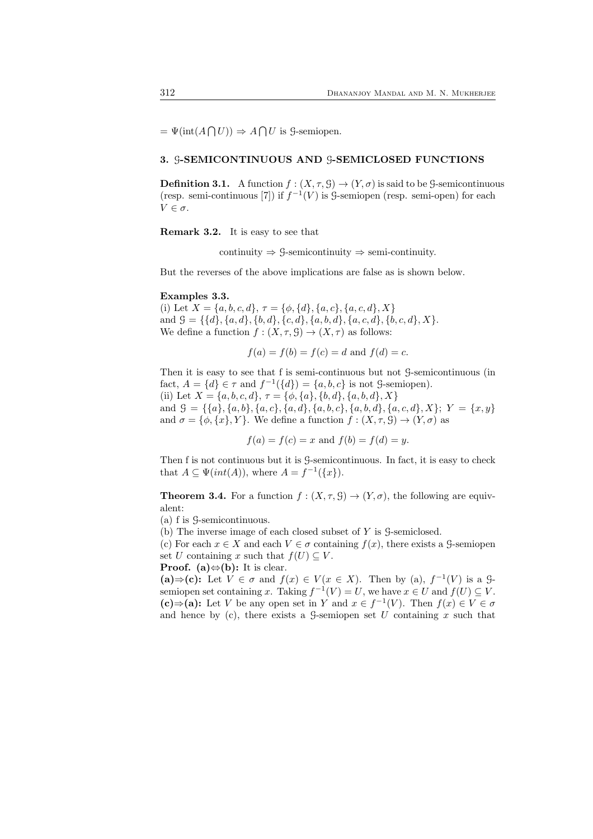$=\Psi(\text{int}(A\bigcap U)) \Rightarrow A\bigcap U$  is *S*-semiopen.

## 3. G-SEMICONTINUOUS AND G-SEMICLOSED FUNCTIONS

**Definition 3.1.** A function  $f : (X, \tau, \mathcal{G}) \to (Y, \sigma)$  is said to be G-semicontinuous (resp. semi-continuous [7]) if  $f^{-1}(V)$  is  $\mathcal G$ -semiopen (resp. semi-open) for each  $V \in \sigma$ .

Remark 3.2. It is easy to see that

continuity  $\Rightarrow$  9-semicontinuity  $\Rightarrow$  semi-continuity.

But the reverses of the above implications are false as is shown below.

#### Examples 3.3.

(i) Let  $X = \{a, b, c, d\}, \tau = \{\phi, \{d\}, \{a, c\}, \{a, c, d\}, X\}$ and  $\mathcal{G} = \{\{d\}, \{a, d\}, \{b, d\}, \{c, d\}, \{a, b, d\}, \{a, c, d\}, \{b, c, d\}, X\}.$ We define a function  $f : (X, \tau, \mathcal{G}) \to (X, \tau)$  as follows:

$$
f(a) = f(b) = f(c) = d
$$
 and  $f(d) = c$ .

Then it is easy to see that f is semi-continuous but not G-semicontinuous (in fact,  $A = \{d\} \in \tau$  and  $f^{-1}(\{d\}) = \{a, b, c\}$  is not G-semiopen). (ii) Let  $X = \{a, b, c, d\}, \tau = \{\phi, \{a\}, \{b, d\}, \{a, b, d\}, X\}$ and  $\mathcal{G} = \{\{a\}, \{a, b\}, \{a, c\}, \{a, d\}, \{a, b, c\}, \{a, b, d\}, \{a, c, d\}, X\}; Y = \{x, y\}$ and  $\sigma = {\phi, \{x\}, Y\}}$ . We define a function  $f : (X, \tau, \mathcal{G}) \to (Y, \sigma)$  as

$$
f(a) = f(c) = x
$$
 and  $f(b) = f(d) = y$ .

Then f is not continuous but it is G-semicontinuous. In fact, it is easy to check that  $A \subseteq \Psi(int(A)),$  where  $A = f^{-1}(\lbrace x \rbrace)$ .

**Theorem 3.4.** For a function  $f : (X, \tau, \mathcal{G}) \to (Y, \sigma)$ , the following are equivalent:

(a) f is G-semicontinuous.

(b) The inverse image of each closed subset of Y is G-semiclosed.

(c) For each  $x \in X$  and each  $V \in \sigma$  containing  $f(x)$ , there exists a G-semiopen set U containing x such that  $f(U) \subseteq V$ .

**Proof.** (a) $\Leftrightarrow$ (b): It is clear.

(a)  $\Rightarrow$  (c): Let  $V \in \sigma$  and  $f(x) \in V(x \in X)$ . Then by (a),  $f^{-1}(V)$  is a  $\mathcal{G}$ semiopen set containing x. Taking  $f^{-1}(V) = U$ , we have  $x \in U$  and  $f(U) \subseteq V$ . (c)⇒(a): Let V be any open set in Y and  $x \in f^{-1}(V)$ . Then  $f(x) \in V \in \sigma$ and hence by (c), there exists a  $\mathcal{G}$ -semiopen set U containing x such that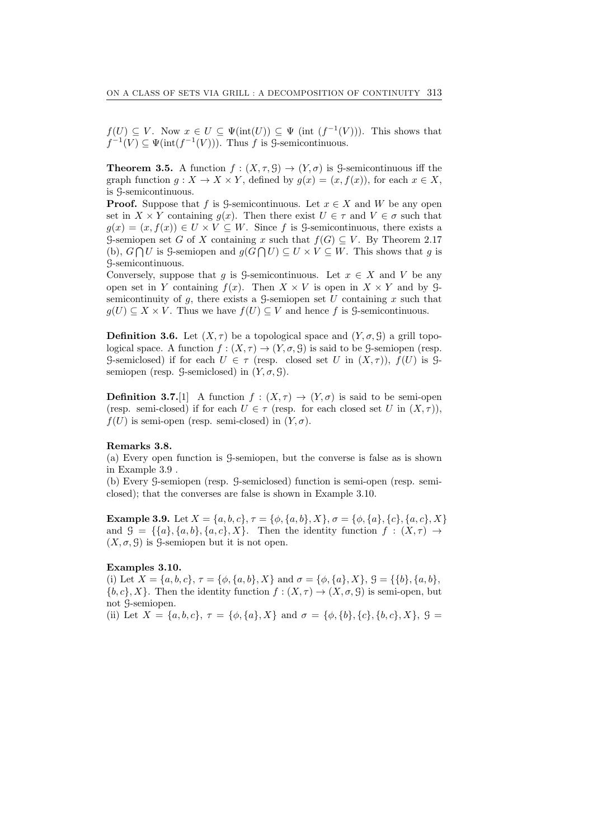$f(U) \subseteq V$ . Now  $x \in U \subseteq \Psi(\text{int}(U)) \subseteq \Psi$  (int  $(f^{-1}(V))$ ). This shows that  $f^{-1}(V) \subseteq \Psi(\text{int}(f^{-1}(V)))$ . Thus f is G-semicontinuous.

**Theorem 3.5.** A function  $f : (X, \tau, \mathcal{G}) \to (Y, \sigma)$  is  $\mathcal{G}$ -semicontinuous iff the graph function  $q: X \to X \times Y$ , defined by  $q(x) = (x, f(x))$ , for each  $x \in X$ , is G-semicontinuous.

**Proof.** Suppose that f is G-semicontinuous. Let  $x \in X$  and W be any open set in  $X \times Y$  containing  $q(x)$ . Then there exist  $U \in \tau$  and  $V \in \sigma$  such that  $g(x) = (x, f(x)) \in U \times V \subseteq W$ . Since f is G-semicontinuous, there exists a G-semiopen set G of X containing x such that  $f(G) \subseteq V$ . By Theorem 2.17 (b),  $G \cap U$  is 9-semiopen and  $g(G \cap U) \subseteq U \times V \subseteq W$ . This shows that g is G-semicontinuous.

Conversely, suppose that g is G-semicontinuous. Let  $x \in X$  and V be any open set in Y containing  $f(x)$ . Then  $X \times V$  is open in  $X \times Y$  and by Gsemicontinuity of  $g$ , there exists a  $\mathcal G$ -semiopen set U containing x such that  $g(U) \subseteq X \times V$ . Thus we have  $f(U) \subseteq V$  and hence f is G-semicontinuous.

**Definition 3.6.** Let  $(X, \tau)$  be a topological space and  $(Y, \sigma, \mathcal{G})$  a grill topological space. A function  $f : (X, \tau) \to (Y, \sigma, \mathcal{G})$  is said to be G-semiopen (resp. G-semiclosed) if for each  $U \in \tau$  (resp. closed set U in  $(X,\tau)$ ),  $f(U)$  is Gsemiopen (resp.  $\mathcal{G}\text{-semiclosed}$ ) in  $(Y, \sigma, \mathcal{G})$ .

**Definition 3.7.**[1] A function  $f : (X, \tau) \to (Y, \sigma)$  is said to be semi-open (resp. semi-closed) if for each  $U \in \tau$  (resp. for each closed set U in  $(X, \tau)$ ),  $f(U)$  is semi-open (resp. semi-closed) in  $(Y, \sigma)$ .

#### Remarks 3.8.

(a) Every open function is G-semiopen, but the converse is false as is shown in Example 3.9 .

(b) Every G-semiopen (resp. G-semiclosed) function is semi-open (resp. semiclosed); that the converses are false is shown in Example 3.10.

Example 3.9. Let  $X = \{a, b, c\}, \tau = \{\phi, \{a, b\}, X\}, \sigma = \{\phi, \{a\}, \{c\}, \{a, c\}, X\}$ and  $\mathcal{G} = \{\{a\}, \{a, b\}, \{a, c\}, X\}.$  Then the identity function  $f : (X, \tau) \rightarrow$  $(X, \sigma, \mathcal{G})$  is  $\mathcal{G}$ -semiopen but it is not open.

#### Examples 3.10.

(i) Let  $X = \{a, b, c\}, \tau = \{\phi, \{a, b\}, X\}$  and  $\sigma = \{\phi, \{a\}, X\}, \mathcal{G} = \{\{b\}, \{a, b\}, \{a, b\}, \{a, b\}, \{a, b\}, \{a, b\}, \{a, b\}, \{a, b\}, \{a, b\}, \{a, b\}, \{a, b\}, \{a, b\}, \{a, b\}, \{a, b\}, \{a, b\}, \{a, b\}, \{a, b\}, \{a, b\}, \{a, b\}, \{a, b\}, \{a, b\}, \{a, b\}, \{$  ${b, c}, X$ . Then the identity function  $f : (X, \tau) \to (X, \sigma, \mathcal{G})$  is semi-open, but not G-semiopen.

(ii) Let  $X = \{a, b, c\}, \tau = \{\phi, \{a\}, X\}$  and  $\sigma = \{\phi, \{b\}, \{c\}, \{b, c\}, X\}, \mathcal{G}$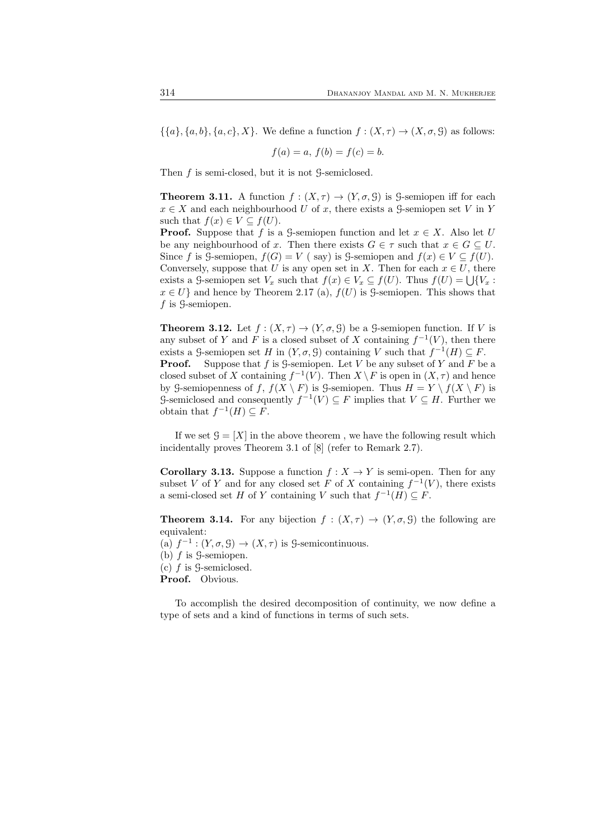$\{\{a\}, \{a, b\}, \{a, c\}, X\}$ . We define a function  $f : (X, \tau) \to (X, \sigma, \mathcal{G})$  as follows:

$$
f(a) = a, \, f(b) = f(c) = b.
$$

Then f is semi-closed, but it is not G-semiclosed.

**Theorem 3.11.** A function  $f : (X, \tau) \to (Y, \sigma, \mathcal{G})$  is G-semiopen iff for each  $x \in X$  and each neighbourhood U of x, there exists a G-semiopen set V in Y such that  $f(x) \in V \subseteq f(U)$ .

**Proof.** Suppose that f is a G-semiopen function and let  $x \in X$ . Also let U be any neighbourhood of x. Then there exists  $G \in \tau$  such that  $x \in G \subseteq U$ . Since f is G-semiopen,  $f(G) = V$  (say) is G-semiopen and  $f(x) \in V \subseteq f(U)$ . Conversely, suppose that U is any open set in X. Then for each  $x \in U$ , there exists a G-semiopen set  $V_x$  such that  $f(x) \in V_x \subseteq f(U)$ . Thus  $f(U) = \bigcup \{V_x :$  $x \in U$  and hence by Theorem 2.17 (a),  $f(U)$  is G-semiopen. This shows that  $f$  is  $\mathcal{G}\text{-semipen}.$ 

**Theorem 3.12.** Let  $f : (X, \tau) \to (Y, \sigma, \mathcal{G})$  be a g-semiopen function. If V is any subset of Y and F is a closed subset of X containing  $f^{-1}(V)$ , then there exists a G-semiopen set H in  $(Y, \sigma, \mathcal{G})$  containing V such that  $f^{-1}(H) \subseteq F$ . **Proof.** Suppose that f is G-semiopen. Let V be any subset of Y and F be a closed subset of X containing  $f^{-1}(V)$ . Then  $X \setminus F$  is open in  $(X, \tau)$  and hence by G-semiopenness of f,  $f(X \setminus F)$  is G-semiopen. Thus  $H = Y \setminus f(X \setminus F)$  is G-semiclosed and consequently  $f^{-1}(V) \subseteq F$  implies that  $V \subseteq H$ . Further we obtain that  $f^{-1}(H) \subseteq F$ .

If we set  $\mathcal{G} = [X]$  in the above theorem, we have the following result which incidentally proves Theorem 3.1 of [8] (refer to Remark 2.7).

**Corollary 3.13.** Suppose a function  $f : X \to Y$  is semi-open. Then for any subset V of Y and for any closed set F of X containing  $f^{-1}(V)$ , there exists a semi-closed set H of Y containing V such that  $f^{-1}(H) \subseteq F$ .

**Theorem 3.14.** For any bijection  $f : (X, \tau) \to (Y, \sigma, \mathcal{G})$  the following are equivalent:

(a)  $f^{-1}$  :  $(Y, \sigma, \mathcal{G}) \to (X, \tau)$  is *S*-semicontinuous.

(b)  $f$  is  $\mathcal{G}$ -semiopen.

 $(c)$  f is  $\mathcal{G}\text{-semiclosed}.$ 

Proof. Obvious.

To accomplish the desired decomposition of continuity, we now define a type of sets and a kind of functions in terms of such sets.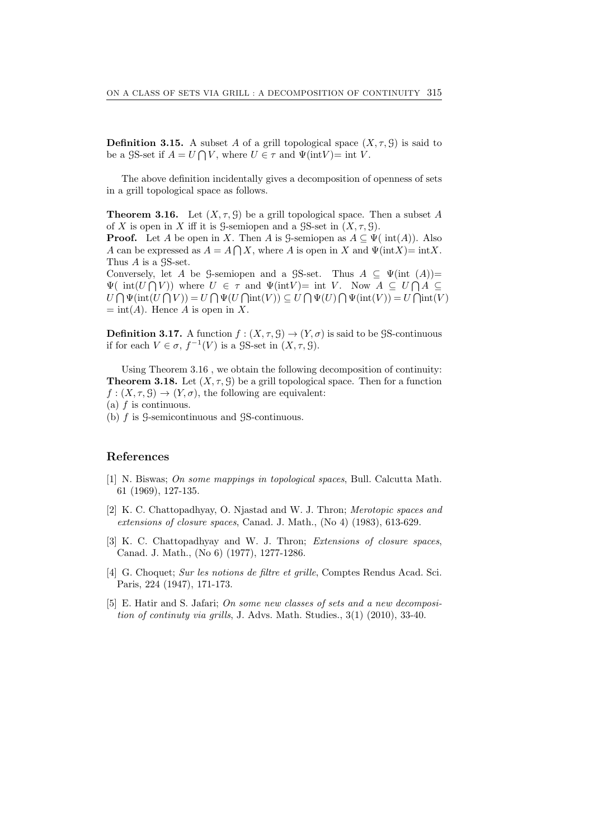**Definition 3.15.** A subset A of a grill topological space  $(X, \tau, \mathcal{G})$  is said to be a GS-set if  $A = U \cap V$ , where  $U \in \tau$  and  $\Psi(\text{int}V) = \text{int } V$ .

The above definition incidentally gives a decomposition of openness of sets in a grill topological space as follows.

**Theorem 3.16.** Let  $(X, \tau, \mathcal{G})$  be a grill topological space. Then a subset A of X is open in X iff it is G-semiopen and a GS-set in  $(X, \tau, \mathcal{G})$ .

**Proof.** Let A be open in X. Then A is G-semiopen as  $A \subseteq \Psi$  ( $int(A)$ ). Also A can be expressed as  $A = A \bigcap X$ , where A is open in X and  $\Psi(\text{int}X) = \text{int}X$ . Thus A is a  $\mathcal{S}S\text{-set}.$ 

Conversely, let A be G-semiopen and a GS-set. Thus  $A \subseteq \Psi(\text{int } (A))$ =  $\Psi(\text{int}(U\bigcap V))$  where  $U \in \tau$  and  $\Psi(\text{int}V) = \text{int } V$ . Now  $A \subseteq U\bigcap A \subseteq$  $U \bigcap \Psi(\text{int}(U \bigcap V)) = U \bigcap \Psi(U \bigcap \text{int}(V)) \subseteq U \bigcap \Psi(U) \bigcap \Psi(\text{int}(V)) = U \bigcap \text{int}(V)$  $=$  int(A). Hence A is open in X.

**Definition 3.17.** A function  $f : (X, \tau, \mathcal{G}) \to (Y, \sigma)$  is said to be  $\mathcal{G}S$ -continuous if for each  $V \in \sigma$ ,  $f^{-1}(V)$  is a  $\mathcal{S}S$ -set in  $(X, \tau, \mathcal{G})$ .

Using Theorem 3.16 , we obtain the following decomposition of continuity: **Theorem 3.18.** Let  $(X, \tau, \mathcal{G})$  be a grill topological space. Then for a function  $f: (X, \tau, \mathcal{G}) \to (Y, \sigma)$ , the following are equivalent:

(b) f is G-semicontinuous and GS-continuous.

## References

- [1] N. Biswas; On some mappings in topological spaces, Bull. Calcutta Math. 61 (1969), 127-135.
- [2] K. C. Chattopadhyay, O. Njastad and W. J. Thron; Merotopic spaces and extensions of closure spaces, Canad. J. Math., (No 4) (1983), 613-629.
- [3] K. C. Chattopadhyay and W. J. Thron; Extensions of closure spaces, Canad. J. Math., (No 6) (1977), 1277-1286.
- [4] G. Choquet; Sur les notions de filtre et grille, Comptes Rendus Acad. Sci. Paris, 224 (1947), 171-173.
- [5] E. Hatir and S. Jafari; On some new classes of sets and a new decomposition of continuty via grills, J. Advs. Math. Studies., 3(1) (2010), 33-40.

<sup>(</sup>a)  $f$  is continuous.